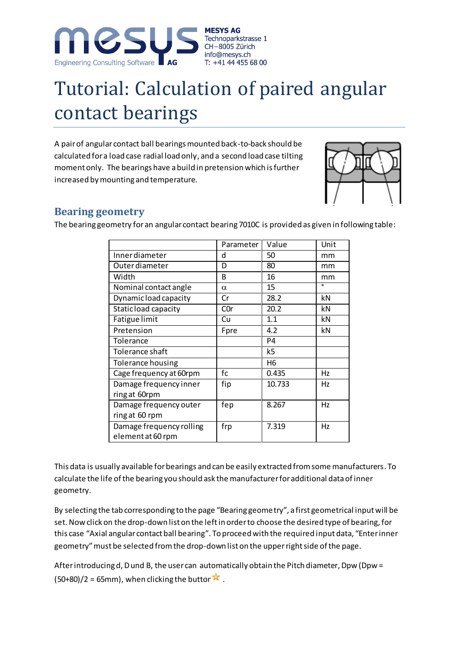

# Tutorial: Calculation of paired angular contact bearings

A pair of angular contact ball bearings mounted back-to-back should be calculated for a load case radial load only, and a second load case tilting moment only. The bearings have a build in pretension which is further increased by mounting and temperature.



#### **Bearing geometry**

The bearing geometry for an angular contact bearing 7010C is provided as given in following table:

|                                               | Parameter | Value          | Unit    |
|-----------------------------------------------|-----------|----------------|---------|
| Innerdiameter                                 | d         | 50             | mm      |
| <b>Outer diameter</b>                         | D         | 80             | mm      |
| Width                                         | B         | 16             | mm      |
| Nominal contact angle                         | $\alpha$  | 15             | $\circ$ |
| Dynamic load capacity                         | Cr        | 28.2           | kN      |
| Static load capacity                          | C0r       | 20.2           | kN      |
| Fatigue limit                                 | Cu        | 1.1            | kN      |
| Pretension                                    | Fpre      | 4.2            | kN      |
| Tolerance                                     |           | P <sub>4</sub> |         |
| Tolerance shaft                               |           | k5             |         |
| Tolerance housing                             |           | H6             |         |
| Cage frequency at 60rpm                       | fc        | 0.435          | Hz      |
| Damage frequency inner                        | fip       | 10.733         | Hz      |
| ring at 60rpm                                 |           |                |         |
| Damage frequency outer                        | fep       | 8.267          | Hz      |
| ring at 60 rpm                                |           |                |         |
| Damage frequency rolling<br>element at 60 rpm | frp       | 7.319          | Hz      |

This data is usually available for bearings and can be easily extracted from some manufacturers. To calculate the life of the bearing you should ask the manufacturer for additional data of inner geometry.

By selecting the tab corresponding to the page "Bearing geometry", a first geometrical input will be set. Now click on the drop-down list on the left in order to choose the desired type of bearing, for this case "Axial angular contact ball bearing". To proceed with the required input data, "Enter inner geometry" must be selected from the drop-down list on the upper right side of the page.

After introducing d, D und B, the user can automatically obtain the Pitch diameter, Dpw (Dpw =  $(50+80)/2 = 65$ mm), when clicking the button  $\lambda$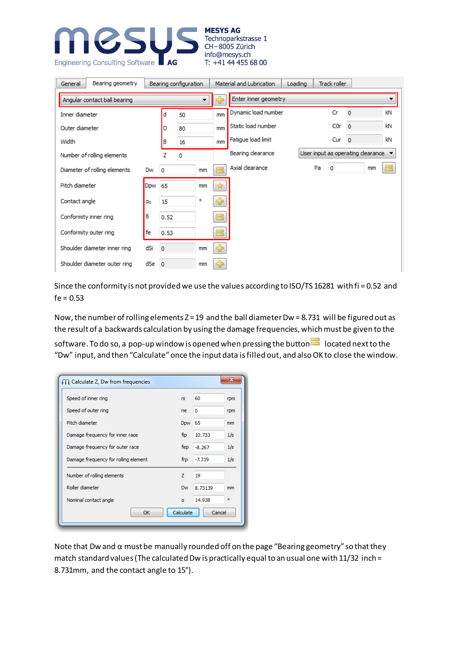## Engineering Consulting Software **AG**

**MESYS AG** Technoparkstrasse 1 CH-8005 Zürich info@mesys.ch T: +41 44 455 68 00

| General        | Bearing geometry             |     | Bearing configuration |         |    |    | Material and Lubrication | Loading                   |  |    | <b>Track roller</b> |                                                        |    |    |  |
|----------------|------------------------------|-----|-----------------------|---------|----|----|--------------------------|---------------------------|--|----|---------------------|--------------------------------------------------------|----|----|--|
|                | Angular contact ball bearing |     |                       |         |    | 47 |                          | Enter inner geometry<br>▼ |  |    |                     |                                                        |    |    |  |
| Inner diameter |                              |     | d                     | 50      |    | mm | Dynamic load number      |                           |  |    | Cr                  | $\overline{0}$                                         |    | kΝ |  |
| Outer diameter |                              |     | D                     | 80      |    | mm | Static load number       |                           |  |    | C <sub>0</sub> r    | $\overline{0}$                                         |    | kΝ |  |
| Width          |                              |     | в                     | 16      |    | mm | Fatigue load limit       |                           |  |    | Cur                 | $\overline{0}$                                         |    | kN |  |
|                | Number of rolling elements   |     | z                     | $\circ$ |    |    | Bearing clearance        |                           |  |    |                     | User input as operating clearance $\blacktriangledown$ |    |    |  |
|                | Diameter of rolling elements | Dw  | 0                     |         | mm |    | Axial clearance          |                           |  | Pa | 0                   |                                                        | mm |    |  |
| Pitch diameter |                              | Dpw | 65                    |         | mm |    |                          |                           |  |    |                     |                                                        |    |    |  |
| Contact angle  |                              | αo  | 15                    |         | ۰  |    |                          |                           |  |    |                     |                                                        |    |    |  |
|                | Conformity inner ring        | fi  | 0.52                  |         |    |    |                          |                           |  |    |                     |                                                        |    |    |  |
|                | Conformity outer ring        | fe  | 0.53                  |         |    |    |                          |                           |  |    |                     |                                                        |    |    |  |
|                | Shoulder diameter inner ring | dSi | $\circ$               |         | mm |    |                          |                           |  |    |                     |                                                        |    |    |  |
|                | Shoulder diameter outer ring | dSe | $\circ$               |         | mm |    |                          |                           |  |    |                     |                                                        |    |    |  |

Since the conformity is not provided we use the values according to ISO/TS 16281 with fi = 0.52 and  $fe = 0.53$ 

Now, the number of rolling elements Z = 19 and the ball diameter Dw = 8.731 will be figured out as the result of a backwards calculation by using the damage frequencies, which must be given to the

software. To do so, a pop-up window is opened when pressing the button  $\blacksquare$  located next to the "Dw" input, and then "Calculate" once the input data is filled out, and also OK to close the window.

| Calculate Z, Dw from frequencies     |               |          | $\mathbf{x}$ |
|--------------------------------------|---------------|----------|--------------|
| Speed of inner ring                  | ni            | 60       | rpm          |
| Speed of outer ring                  | <sub>ne</sub> | 0        | rpm          |
| Pitch diameter                       | Dpw           | 65       | mm           |
| Damage frequency for inner race      | fip           | 10.733   | 1/s          |
| Damage frequency for outer race      | fep           | $-8.267$ | 1/s          |
| Damage frequency for rolling element | frp           | $-7.319$ | 1/s          |
| Number of rolling elements           | z             | 19       |              |
| Roller diameter                      | Dw            | 8.73139  | mm           |
| Nominal contact angle                | a             | 14.938   | ۰            |
| OK                                   | Calculate     | Cancel   |              |

Note that Dw and  $\alpha$  must be manually rounded off on the page "Bearing geometry" so that they match standard values (The calculated Dw is practically equal to an usual one with 11/32 inch = 8.731mm, and the contact angle to 15°).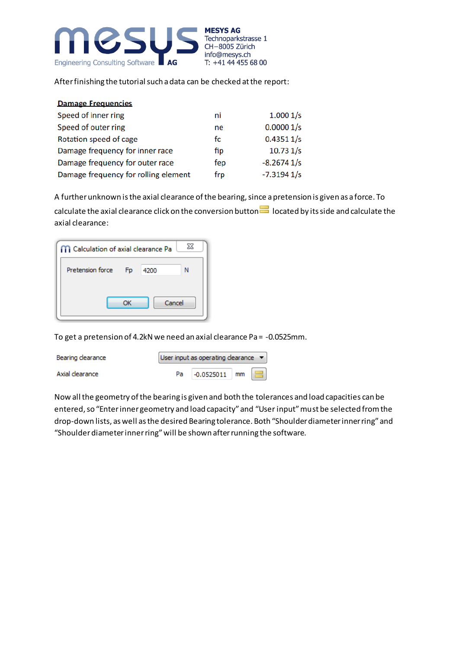

After finishing the tutorial such a data can be checked at the report:

| <b>Damage Frequencies</b>            |     |              |
|--------------------------------------|-----|--------------|
| Speed of inner ring                  | ni  | 1.0001/s     |
| Speed of outer ring                  | ne  | 0.00001/s    |
| Rotation speed of cage               | fc  | 0.43511/s    |
| Damage frequency for inner race      | fip | 10.731/s     |
| Damage frequency for outer race      | fep | $-8.26741/s$ |
| Damage frequency for rolling element | frp | $-7.31941/s$ |

A further unknown is the axial clearance of the bearing, since a pretension is given as a force. To

calculate the axial clearance click on the conversion button  $\blacksquare$  located by its side and calculate the axial clearance:

| ℠<br>Calculation of axial clearance Pa |                |      |        |  |  |  |  |  |  |  |  |
|----------------------------------------|----------------|------|--------|--|--|--|--|--|--|--|--|
| Pretension force                       | F <sub>p</sub> | 4200 |        |  |  |  |  |  |  |  |  |
|                                        | ОΚ             |      | Cancel |  |  |  |  |  |  |  |  |
|                                        |                |      |        |  |  |  |  |  |  |  |  |

To get a pretension of 4.2kN we need an axial clearance Pa = -0.0525mm.

| Bearing clearance |    | User input as operating clearance $\blacktriangledown$ |    |  |
|-------------------|----|--------------------------------------------------------|----|--|
| Axial clearance   | Pa | $-0.0525011$                                           | mm |  |

Now all the geometry of the bearing is given and both the tolerances and load capacities can be entered, so "Enter inner geometry and load capacity" and "User input" must be selected from the drop-down lists, as well as the desired Bearing tolerance. Both "Shoulder diameter inner ring" and "Shoulder diameter inner ring" will be shown after running the software.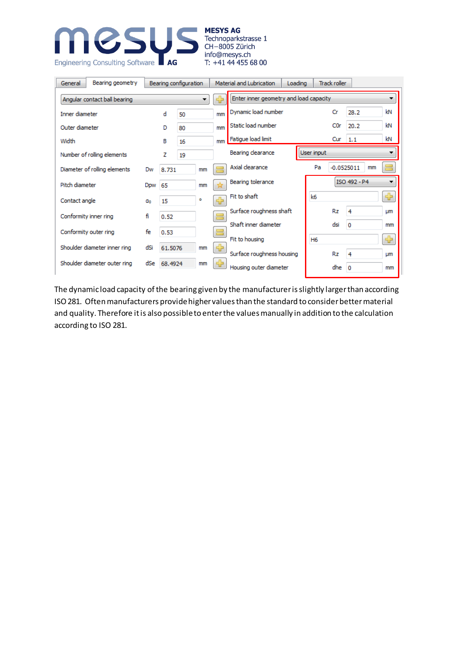## IIG Engineering Consulting Software **AG**

**MESYS AG** Technoparkstrasse 1 CH-8005 Zürich info@mesys.ch<br>T: +41 44 455 68 00

| General        | Bearing geometry             |     | Bearing configuration |               |    |    | Material and Lubrication  | Loading                                |            | Track roller |              |    |    |  |
|----------------|------------------------------|-----|-----------------------|---------------|----|----|---------------------------|----------------------------------------|------------|--------------|--------------|----|----|--|
|                | Angular contact ball bearing |     |                       |               |    |    |                           | Enter inner geometry and load capacity |            |              |              |    |    |  |
| Inner diameter |                              |     | d                     | 50            |    | mm | Dynamic load number       |                                        |            | Cr           | 28.2         |    | kN |  |
| Outer diameter |                              |     | D                     | 80            |    | mm | Static load number        |                                        |            |              | 20.2         |    | kN |  |
| Width          |                              |     | В                     | 16            |    | mm | Fatique load limit        |                                        |            | Cur 1.1      |              |    | kN |  |
|                | Number of rolling elements   |     | z                     | 19            |    |    | Bearing clearance         |                                        | User input |              |              |    |    |  |
|                | Diameter of rolling elements | Dw  |                       | 8.731<br>mm   |    |    | Axial clearance           |                                        | Pa         | $-0.0525011$ |              | mm |    |  |
| Pitch diameter |                              | Dpw | 65                    |               | mm |    | Bearing tolerance         |                                        |            |              | ISO 492 - P4 |    |    |  |
| Contact angle  |                              | αo  | 15                    |               | ۰  |    | Fit to shaft              | k6                                     |            |              |              |    | ⊕  |  |
|                | Conformity inner ring        | fi  | 0.52                  |               |    |    | Surface roughness shaft   |                                        |            | Rz           | 4            |    | Цm |  |
|                |                              |     |                       |               |    |    | Shaft inner diameter      |                                        |            | dsi          | 0            |    | mm |  |
|                | Conformity outer ring        | fe  | 0.53                  |               |    |    | Fit to housing            |                                        | <b>H6</b>  |              |              |    | ⊕  |  |
|                | Shoulder diameter inner ring | dSi |                       | 61.5076<br>mm |    | 남  | Surface roughness housing |                                        |            | Rz           | 4            |    | иm |  |
|                | Shoulder diameter outer ring | dSe |                       | 68.4924<br>mm |    |    | Housing outer diameter    |                                        |            | dhe          | 0            |    | mm |  |

The dynamic load capacity of the bearing given by the manufacturer is slightly larger than according ISO 281. Often manufacturers provide higher values than the standard to consider better material and quality. Therefore it is also possible to enter the values manually in addition to the calculation according to ISO 281.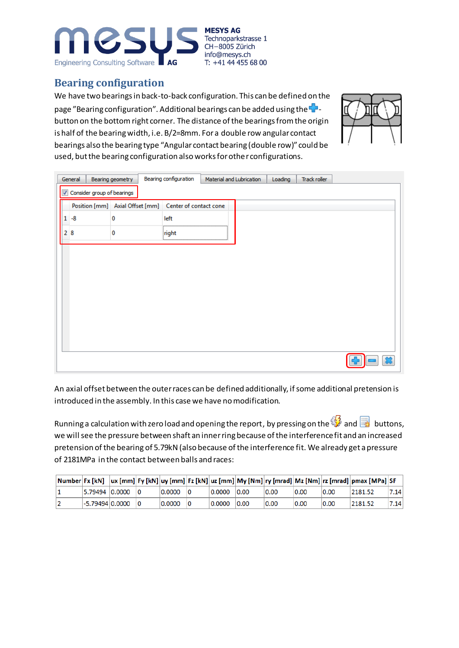

#### **Bearing configuration**

We have two bearings in back-to-back configuration. This can be defined on the page "Bearing configuration". Additional bearings can be added using the  $\P$ button on the bottom right corner. The distance of the bearings from the origin is half of the bearing width, i.e. B/2=8mm. For a double row angular contact bearings also the bearing type "Angular contact bearing (double row)" could be used, but the bearing configuration also works for other configurations.



| General                    | Bearing geometry | Bearing configuration                                  | Material and Lubrication | Loading | Track roller |  |
|----------------------------|------------------|--------------------------------------------------------|--------------------------|---------|--------------|--|
| Consider group of bearings |                  |                                                        |                          |         |              |  |
|                            |                  | Position [mm] Axial Offset [mm] Center of contact cone |                          |         |              |  |
| $1 - 8$                    | 0                | left                                                   |                          |         |              |  |
| 28                         | $\bf{0}$         | right                                                  |                          |         |              |  |
|                            |                  |                                                        |                          |         |              |  |
|                            |                  |                                                        |                          |         |              |  |
|                            |                  |                                                        |                          |         |              |  |
|                            |                  |                                                        |                          |         |              |  |
|                            |                  |                                                        |                          |         |              |  |
|                            |                  |                                                        |                          |         |              |  |
|                            |                  |                                                        |                          |         |              |  |
|                            |                  |                                                        |                          |         |              |  |
|                            |                  |                                                        |                          |         |              |  |
|                            |                  |                                                        |                          |         |              |  |

An axial offset between the outer races can be defined additionally, if some additional pretension is introduced in the assembly. In this case we have no modification.

Running a calculation with zero load and opening the report, by pressing on the  $\mathcal{G}$  and  $\mathbb{R}$  buttons, we will see the pressure between shaft an inner ring because of the interference fit and an increased pretension of the bearing of 5.79kN (also because of the interference fit. We already get a pressure of 2181MPa in the contact between balls and races:

| Number Fx [kN]  |  |        |        |      |      |      |      | ux [mm] Fy [kN] uy [mm] Fz [kN] uz [mm] My [Nm] ry [mrad] Mz [Nm] rz [mrad] pmax [MPa] SF |      |
|-----------------|--|--------|--------|------|------|------|------|-------------------------------------------------------------------------------------------|------|
| 5.79494 0.0000  |  | 0.0000 | 0.0000 | 0.00 | 0.00 | 0.00 | 0.00 | 2181.52                                                                                   | 7.14 |
| -5.79494 0.0000 |  | 0.0000 | 0.0000 | 0.00 | 0.00 | 0.00 | 0.00 | 2181.52                                                                                   | 7.14 |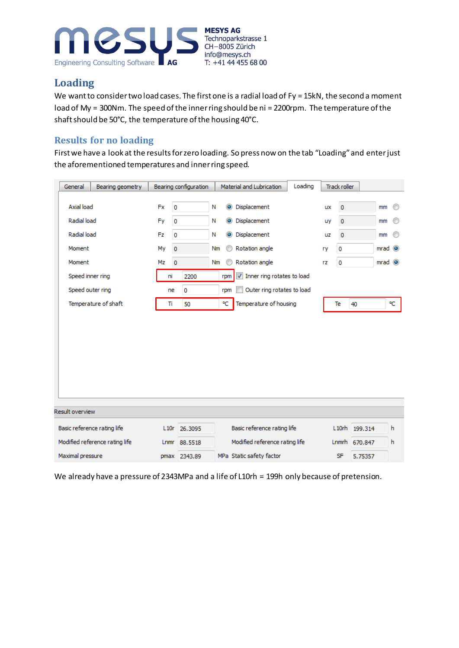

### **Loading**

We want to consider two load cases. The first one is a radial load of Fy = 15kN, the second a moment load of My = 300Nm. The speed of the inner ring should be ni = 2200rpm. The temperature of the shaft should be 50°C, the temperature of the housing 40°C.

#### **Results for no loading**

First we have a look at the results for zero loading. So press now on the tab "Loading" and enterjust the aforementioned temperatures and inner ring speed.

| General                                                                                              | Bearing geometry               | Bearing configuration                  |                                                        |                 |                         | Loading<br>Material and Lubrication                  |                                                                                                                                                                                        |  |                            | Track roller                                                |               |                                                    |                   |
|------------------------------------------------------------------------------------------------------|--------------------------------|----------------------------------------|--------------------------------------------------------|-----------------|-------------------------|------------------------------------------------------|----------------------------------------------------------------------------------------------------------------------------------------------------------------------------------------|--|----------------------------|-------------------------------------------------------------|---------------|----------------------------------------------------|-------------------|
| Axial load<br>Radial load<br>Radial load<br>Moment<br>Moment<br>Speed inner ring<br>Speed outer ring | Temperature of shaft           | Fx<br>Fy<br>Fz<br>My<br>Mz<br>ni<br>Ti | $\circ$<br>0<br>0<br>$\mathbf 0$<br>$\mathbf{0}$<br>ne | 2200<br>0<br>50 | Ν<br>Ν<br>Ν<br>Nm<br>Nm | $\bullet$<br>$\bullet$<br>۰<br>⋒<br>rpm<br>rpm<br>٩C | Displacement<br>Displacement<br>Displacement<br>Rotation angle<br>Rotation angle<br>$\triangledown$ Inner ring rotates to load<br>Outer ring rotates to load<br>Temperature of housing |  | ux<br>uy<br>uz<br>ry<br>rz | $\circ$<br>$\circ$<br>$\circ$<br>$\pmb{0}$<br>$\circ$<br>Te | 40            | mm<br>mm<br>mm<br>$mrad$ $\odot$<br>$mrad$ $\odot$ | ⊙<br>⊙<br>⊙<br>٩C |
| Result overview                                                                                      |                                |                                        |                                                        |                 |                         |                                                      |                                                                                                                                                                                        |  |                            |                                                             |               |                                                    |                   |
|                                                                                                      | Basic reference rating life    | L10r                                   |                                                        | 26,3095         |                         |                                                      | Basic reference rating life                                                                                                                                                            |  |                            |                                                             | L10rh 199.314 |                                                    | h                 |
|                                                                                                      |                                |                                        |                                                        |                 |                         |                                                      |                                                                                                                                                                                        |  |                            |                                                             |               |                                                    |                   |
|                                                                                                      | Modified reference rating life | Lnmr                                   |                                                        | 88.5518         |                         |                                                      | Modified reference rating life                                                                                                                                                         |  |                            |                                                             | Lnmrh 670.847 |                                                    | h                 |
| Maximal pressure                                                                                     |                                |                                        |                                                        | pmax 2343.89    |                         |                                                      | MPa Static safety factor                                                                                                                                                               |  |                            | <b>SF</b>                                                   | 5.75357       |                                                    |                   |

We already have a pressure of 2343MPa and a life of L10rh = 199h only because of pretension.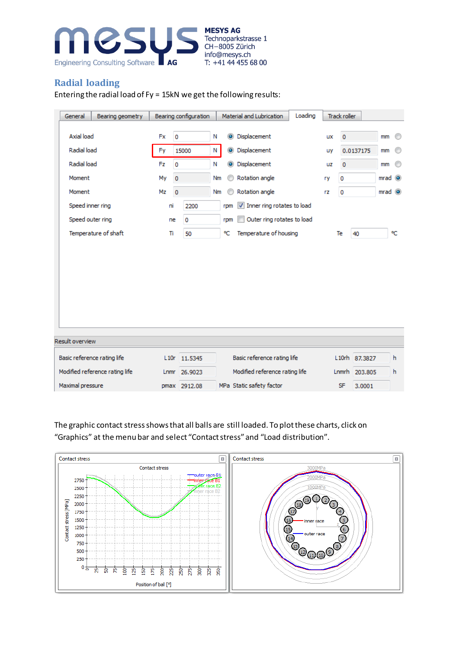

#### **Radial loading**

Entering the radial load of Fy = 15kN we get the following results:

| General<br>Bearing geometry    |      |              | Bearing configuration |    |           | Loading<br>Material and Lubrication |    | <b>Track roller</b> |               |                |    |
|--------------------------------|------|--------------|-----------------------|----|-----------|-------------------------------------|----|---------------------|---------------|----------------|----|
| Axial load                     | Fx   | $\circ$      |                       | Ν  | $\bullet$ | Displacement                        | uх | $\overline{0}$      |               | mm             | ⊙  |
| Radial load                    | Fy   |              | 15000                 | Ν  | $\bullet$ | Displacement                        | uy |                     | 0.0137175     | mm             | ∩  |
| Radial load                    | Fz.  | $\mathbf{0}$ |                       | Ν  | $\bullet$ | Displacement                        | uz | $\mathbf 0$         |               | mm             | ⊙  |
| Moment                         | My   | $\mathbf{0}$ |                       | Nm |           | Rotation angle                      | ry | 0                   |               | $mrad$ $\odot$ |    |
| Moment                         | Mz   | $\mathbf{0}$ |                       | Nm | ∩         | Rotation angle                      | rz | $\mathbf 0$         |               | $mrad$ $\odot$ |    |
| Speed inner ring               | ni   |              | 2200                  |    | rpm       | Inner ring rotates to load          |    |                     |               |                |    |
| Speed outer ring               |      | ne           | $\circ$               |    | rpm       | Outer ring rotates to load          |    |                     |               |                |    |
| Temperature of shaft           | Ti   |              | 50                    |    | ٩C        | Temperature of housing              |    | Te                  | 40            |                | ٩C |
|                                |      |              |                       |    |           |                                     |    |                     |               |                |    |
|                                |      |              |                       |    |           |                                     |    |                     |               |                |    |
|                                |      |              |                       |    |           |                                     |    |                     |               |                |    |
|                                |      |              |                       |    |           |                                     |    |                     |               |                |    |
|                                |      |              |                       |    |           |                                     |    |                     |               |                |    |
|                                |      |              |                       |    |           |                                     |    |                     |               |                |    |
|                                |      |              |                       |    |           |                                     |    |                     |               |                |    |
| Result overview                |      |              |                       |    |           |                                     |    |                     |               |                |    |
| Basic reference rating life    | L10r |              | 11.5345               |    |           | Basic reference rating life         |    |                     | L10rh 87.3827 |                | h  |
| Modified reference rating life | Lnmr |              | 26.9023               |    |           | Modified reference rating life      |    |                     | Lnmrh 203,805 |                | h. |
| Maximal pressure               |      |              | pmax 2912.08          |    |           | MPa Static safety factor            |    | <b>SF</b>           | 3.0001        |                |    |

The graphic contact stress shows that all balls are still loaded. To plot these charts, click on "Graphics" at the menu bar and select "Contact stress" and "Load distribution".

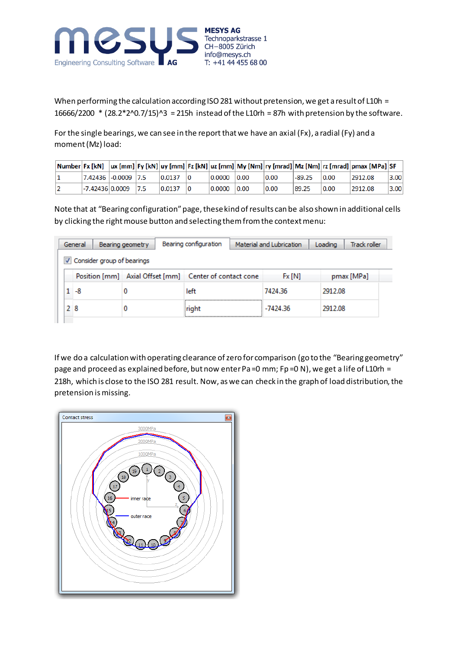

When performing the calculation according ISO 281 without pretension, we get a result of L10h = 16666/2200  $*(28.2 * 2^0.7/15)^3 = 215h$  instead of the L10rh = 87h with pretension by the software.

For the single bearings, we can see in the report that we have an axial (Fx), a radial (Fy) and a moment(Mz) load:

| Number Fx [kN] |                 |                     |      |        |         |      |      |          |      | ux [mm]  Fy [kN]  uy [mm]  Fz [kN]  uz [mm]  My [Nm]  ry [mrad]  Mz [Nm]  rz [mrad]  pmax [MPa]  SF |      |
|----------------|-----------------|---------------------|------|--------|---------|------|------|----------|------|-----------------------------------------------------------------------------------------------------|------|
|                |                 | 7.42436 -0.0009 7.5 |      | 0.0137 | 10.0000 | 0.00 | 0.00 | $-89.25$ | 0.00 | 2912.08                                                                                             | 3.00 |
|                | -7.42436 0.0009 |                     | 17.5 | 0.0137 | 0.0000  | 0.00 | 0.00 | 89.25    | 0.00 | 2912.08                                                                                             | 3.00 |

Note that at "Bearing configuration" page, these kind of results can be also shown in additional cells by clicking the right mouse button and selecting them from the context menu:

| Bearing geometry<br>General |                            | Bearing configuration                                  | Material and Lubrication | Loading | Track roller |
|-----------------------------|----------------------------|--------------------------------------------------------|--------------------------|---------|--------------|
| V                           | Consider group of bearings |                                                        |                          |         |              |
|                             |                            | Position [mm] Axial Offset [mm] Center of contact cone | <b>Ex [N]</b>            |         | pmax [MPa]   |
|                             | -8                         | left                                                   | 7424.36                  | 2912.08 |              |
|                             | 28                         | right                                                  | -7424.36                 | 2912.08 |              |

If we do a calculation with operating clearance of zero for comparison (go to the "Bearing geometry" page and proceed as explained before, but now enter Pa =0 mm; Fp =0 N), we get a life of L10rh = 218h, which is close to the ISO 281 result. Now, as we can check in the graph of load distribution, the pretension is missing.

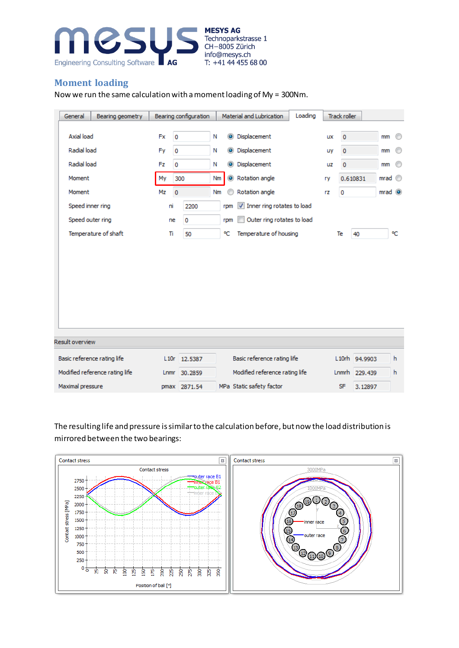

#### **Moment loading**

Now we run the same calculation with a moment loading of My = 300Nm.

| General                | Bearing geometry               |      |             | Bearing configuration |    |           | Loading<br>Material and Lubrication |    | <b>Track roller</b> |               |                |    |
|------------------------|--------------------------------|------|-------------|-----------------------|----|-----------|-------------------------------------|----|---------------------|---------------|----------------|----|
| Axial load             |                                | Fx   | $\circ$     |                       | Ν  | $\bullet$ | Displacement                        | uх | $\bf 0$             |               | mm             | ⊙  |
| Radial load            |                                | Fy   | $\mathbf 0$ |                       | Ν  | $\bullet$ | Displacement                        | uy | $\pmb{0}$           |               | mm             | ⊙  |
| Radial load            |                                | Fz   | 0           |                       | Ν  | $\bullet$ | Displacement                        | uz | $\mathbf 0$         |               | mm             | ⊙  |
| Moment                 |                                | My   | 300         |                       | Nm | $\bullet$ | Rotation angle                      | ry |                     | 0.610831      | mrad           | ⊙  |
| Moment                 |                                | Mz   | $\mathbf 0$ |                       | Nm | ⋒         | Rotation angle                      | rz | 0                   |               | $mrad$ $\odot$ |    |
| Speed inner ring       |                                | ni   |             | 2200                  |    | rpm       | Inner ring rotates to load          |    |                     |               |                |    |
| Speed outer ring       |                                |      | ne          | $\circ$               |    | rpm       | Outer ring rotates to load          |    |                     |               |                |    |
|                        | Temperature of shaft           | Ti   |             | 50                    |    | ٩C        | Temperature of housing              |    | Te                  | 40            |                | ٩C |
| <b>Result overview</b> |                                |      |             |                       |    |           |                                     |    |                     |               |                |    |
|                        | Basic reference rating life    | L10r |             | 12.5387               |    |           | Basic reference rating life         |    |                     | L10rh 94,9903 |                | h  |
|                        | Modified reference rating life | Lnmr |             | 30.2859               |    |           | Modified reference rating life      |    |                     | Lnmrh 229,439 |                | h  |
| Maximal pressure       |                                |      |             | pmax 2871.54          |    |           | MPa Static safety factor            |    | <b>SF</b>           | 3.12897       |                |    |

The resulting life and pressure is similar to the calculation before, but now the load distribution is mirrored between the two bearings:

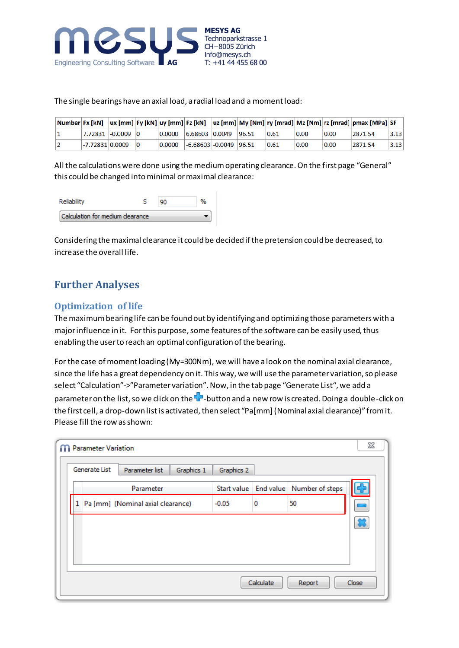

The single bearings have an axial load, a radial load and a moment load:

|                   |  |                                    |  |      |      |      | Number Fx [kN] ax [mm] Fy [kN] uy [mm] Fz [kN] az [mm] My [Nm] ry [mrad] Mz [Nm] rz [mrad] pmax [MPa] SF [ |      |
|-------------------|--|------------------------------------|--|------|------|------|------------------------------------------------------------------------------------------------------------|------|
| 7.72831 -0.0009 0 |  | $ 0.0000 $ $ 6.68603 0.0049 96.51$ |  | 0.61 | 0.00 | 0.00 | 2871.54                                                                                                    | 3.13 |
| $-7.72831 0.0009$ |  | $ 0.0000 $ -6.68603 -0.0049 96.51  |  | 0.61 | 0.00 | 0.00 | 2871.54                                                                                                    | 3.13 |

All the calculations were done using the medium operating clearance. On the first page "General" this could be changed into minimal or maximal clearance:

| Reliabilit                       |  |  |
|----------------------------------|--|--|
| Calculation for medium clearance |  |  |

Considering the maximal clearance it could be decided if the pretension could be decreased, to increase the overall life.

### **Further Analyses**

#### **Optimization of life**

The maximum bearing life can be found out by identifying and optimizing those parameters with a major influence in it. For this purpose, some features of the software can be easily used, thus enabling the user to reach an optimal configuration of the bearing.

For the case of moment loading (My=300Nm), we will have a look on the nominal axial clearance, since the life has a great dependency on it. This way, we will use the parameter variation, so please select "Calculation"->"Parameter variation". Now, in the tab page "Generate List", we add a parameter on the list, so we click on the  $\frac{1}{2}$ -button and a new row is created. Doing a double-click on the first cell, a drop-down list is activated, then select "Pa[mm] (Nominal axial clearance)" from it. Please fill the row as shown:

| <b>M</b> Parameter Variation |                                   |            |            |           |                                       | ⅏     |
|------------------------------|-----------------------------------|------------|------------|-----------|---------------------------------------|-------|
| Generate List                | Parameter list                    | Graphics 1 | Graphics 2 |           |                                       |       |
|                              | Parameter                         |            |            |           | Start value End value Number of steps | 心     |
| $\mathbf{1}$                 | Pa [mm] (Nominal axial clearance) |            | $-0.05$    | 0         | 50                                    |       |
|                              |                                   |            |            |           |                                       |       |
|                              |                                   |            |            |           |                                       |       |
|                              |                                   |            |            |           |                                       |       |
|                              |                                   |            |            |           |                                       |       |
|                              |                                   |            |            | Calculate | Report                                | Close |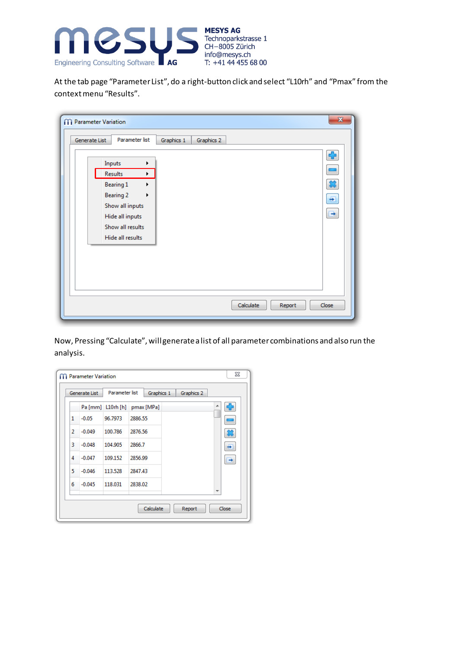

At the tab page "Parameter List", do a right-button click and select "L10rh" and "Pmax" from the context menu "Results".

| Parameter list<br>Generate List                                                                                                  | Graphics 1                           | Graphics 2 |                     |                                                           |
|----------------------------------------------------------------------------------------------------------------------------------|--------------------------------------|------------|---------------------|-----------------------------------------------------------|
| Inputs<br>Results<br>Bearing 1<br><b>Bearing 2</b><br>Show all inputs<br>Hide all inputs<br>Show all results<br>Hide all results | ▶<br>▶<br>$\blacktriangleright$<br>▶ |            |                     | $\ddot{\textbf{r}}$<br>$\blacksquare$<br>惢<br>$\div$<br>e |
|                                                                                                                                  |                                      |            | Calculate<br>Report | Close                                                     |

Now, Pressing "Calculate", will generate a list of all parameter combinations and also run the analysis.

| Pa [mm] L10rh [h]<br>pmax [MPa]<br>$-0.05$<br>96.7973<br>2886.55<br>1<br>100.786<br>2<br>$-0.049$<br>2876.56<br>3<br>104.905<br>2866.7<br>$-0.048$ |                          | Graphics 1 | Parameter list | Generate List |   |
|----------------------------------------------------------------------------------------------------------------------------------------------------|--------------------------|------------|----------------|---------------|---|
|                                                                                                                                                    | ÷<br>▲                   |            |                |               |   |
|                                                                                                                                                    |                          |            |                |               |   |
|                                                                                                                                                    |                          |            |                |               |   |
|                                                                                                                                                    |                          |            |                |               |   |
| 2856.99                                                                                                                                            | œ                        |            | 109.152        | $-0.047$      | 4 |
| 5<br>$-0.046$<br>113.528<br>2847.43                                                                                                                |                          |            |                |               |   |
| 6<br>118.031<br>2838.02<br>$-0.045$                                                                                                                | $\overline{\phantom{a}}$ |            |                |               |   |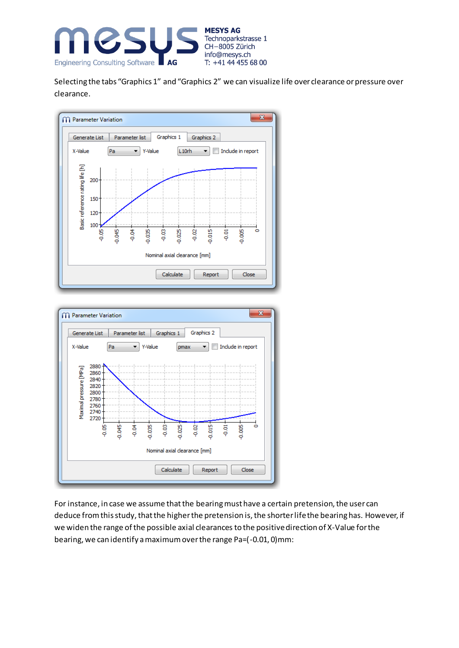

Selecting the tabs "Graphics 1" and "Graphics 2" we can visualize life over clearance or pressure over clearance.





For instance, in case we assume that the bearing must have a certain pretension, the user can deduce from this study, that the higher the pretension is, the shorter life the bearing has. However, if we widen the range of the possible axial clearances to the positive direction of X-Value for the bearing, we can identify a maximum over the range Pa=(-0.01, 0)mm: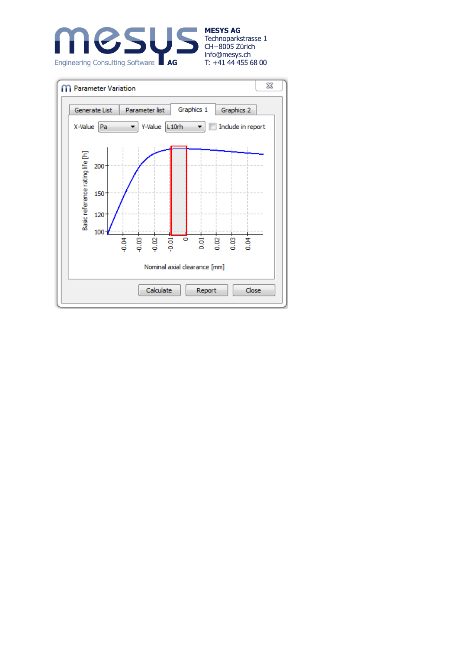

**MESYS AG** Technoparkstrasse 1 CH-8005 Zürich info@mesys.ch<br>T: +41 44 455 68 00

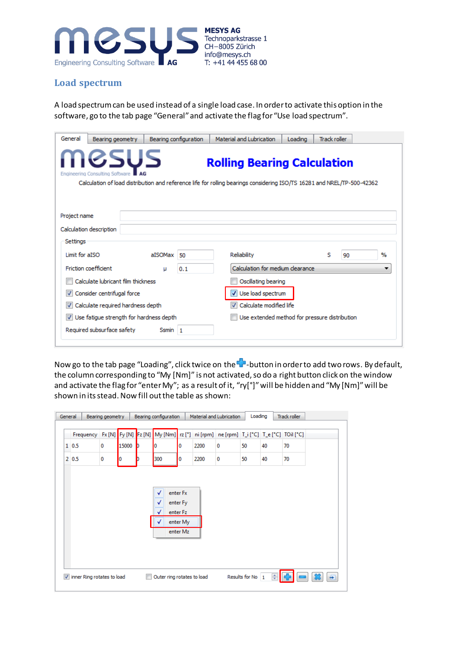

#### **Load spectrum**

A load spectrum can be used instead of a single load case. In order to activate this option in the software, go to the tab page "General" and activate the flag for "Use load spectrum".

| General<br>Bearing geometry                  |         | Bearing configuration | Material and Lubrication                                                                                                | Loading                          | <b>Track roller</b> |    |   |  |  |  |
|----------------------------------------------|---------|-----------------------|-------------------------------------------------------------------------------------------------------------------------|----------------------------------|---------------------|----|---|--|--|--|
| <b>165US</b><br>Engineering Consulting Softw |         |                       | <b>Rolling Bearing Calculation</b>                                                                                      |                                  |                     |    |   |  |  |  |
|                                              |         |                       | Calculation of load distribution and reference life for rolling bearings considering ISO/TS 16281 and NREL/TP-500-42362 |                                  |                     |    |   |  |  |  |
|                                              |         |                       |                                                                                                                         |                                  |                     |    |   |  |  |  |
|                                              |         |                       |                                                                                                                         |                                  |                     |    |   |  |  |  |
| Project name                                 |         |                       |                                                                                                                         |                                  |                     |    |   |  |  |  |
| Calculation description                      |         |                       |                                                                                                                         |                                  |                     |    |   |  |  |  |
| Settings                                     |         |                       |                                                                                                                         |                                  |                     |    |   |  |  |  |
| Limit for aISO                               | aISOMax | 50                    | Reliability                                                                                                             |                                  | s                   | 90 | % |  |  |  |
| <b>Friction coefficient</b>                  | Ш       | 0.1                   |                                                                                                                         | Calculation for medium clearance |                     |    |   |  |  |  |
| Calculate lubricant film thickness           |         |                       | Oscillating bearing                                                                                                     |                                  |                     |    |   |  |  |  |
| Consider centrifugal force                   |         |                       | Use load spectrum<br>$\overline{\mathbf{v}}$                                                                            |                                  |                     |    |   |  |  |  |
|                                              |         |                       |                                                                                                                         | V Calculate modified life        |                     |    |   |  |  |  |
| Calculate required hardness depth            |         |                       |                                                                                                                         |                                  |                     |    |   |  |  |  |
| V Use fatigue strength for hardness depth    |         |                       | Use extended method for pressure distribution                                                                           |                                  |                     |    |   |  |  |  |

Now go to the tab page "Loading", click twice on the  $\blacksquare$ -button in order to add two rows. By default, the column corresponding to "My [Nm]" is not activated, so do a right button click on the window and activate the flag for "enter My"; as a result of it, "ry[°]" will be hidden and "My [Nm]" will be shown in its stead. Now fill out the table as shown:

|  | General                                                                                     | Bearing geometry |       |          | Bearing configuration      |                                              |      | Material and Lubrication | Loading          |    | Track roller |  |
|--|---------------------------------------------------------------------------------------------|------------------|-------|----------|----------------------------|----------------------------------------------|------|--------------------------|------------------|----|--------------|--|
|  | Frequency Fx [N] Fy [N] Fz [N] My [Nm] rz [°] ni [rpm] ne [rpm] T_i [°C] T_e [°C] TOil [°C] |                  |       |          |                            |                                              |      |                          |                  |    |              |  |
|  | $1\,0.5$                                                                                    | $\bf{0}$         | 15000 | <b>D</b> | n                          | 0                                            | 2200 | 0                        | 50               | 40 | 70           |  |
|  | $2 \ 0.5$                                                                                   | 0                | ю     | Ю        | 300                        | 0                                            | 2200 | 0                        | 50               | 40 | 70           |  |
|  |                                                                                             |                  |       |          | √                          | enter Fy<br>enter Fz<br>enter My<br>enter Mz |      |                          |                  |    |              |  |
|  | $\vee$ inner Ring rotates to load                                                           |                  |       |          | Outer ring rotates to load |                                              |      |                          | Results for No 1 | ÷  |              |  |